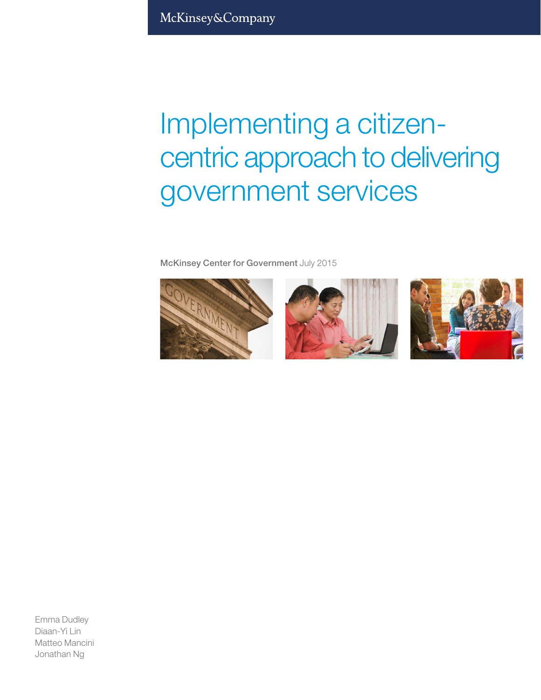# Implementing a citizencentric approach to delivering government services

McKinsey Center for Government July 2015







Emma Dudley Diaan-Yi Lin Matteo Mancini Jonathan Ng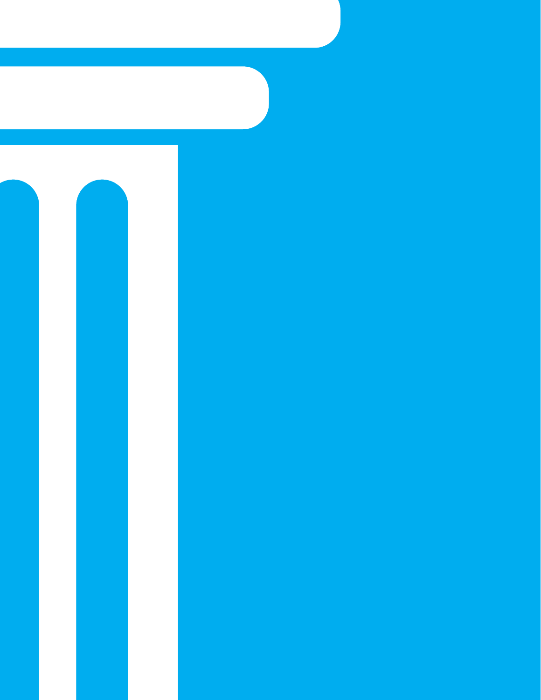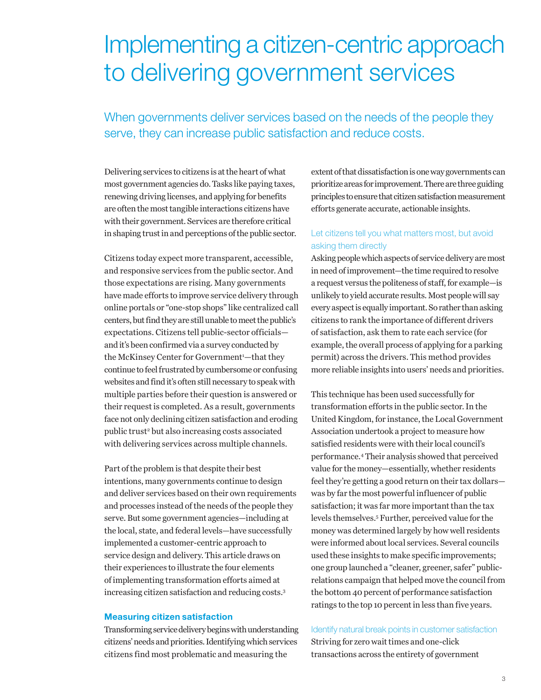## Implementing a citizen-centric approach to delivering government services

When governments deliver services based on the needs of the people they serve, they can increase public satisfaction and reduce costs.

Delivering services to citizens is at the heart of what most government agencies do. Tasks like paying taxes, renewing driving licenses, and applying for benefits are often the most tangible interactions citizens have with their government. Services are therefore critical in shaping trust in and perceptions of the public sector.

Citizens today expect more transparent, accessible, and responsive services from the public sector. And those expectations are rising. Many governments have made efforts to improve service delivery through online portals or "one-stop shops" like centralized call centers, but find they are still unable to meet the public's expectations. Citizens tell public-sector officials and it's been confirmed via a survey conducted by the McKinsey Center for Government<sup>1</sup>—that they continue to feel frustrated by cumbersome or confusing websites and find it's often still necessary to speak with multiple parties before their question is answered or their request is completed. As a result, governments face not only declining citizen satisfaction and eroding public trust2 but also increasing costs associated with delivering services across multiple channels.

Part of the problem is that despite their best intentions, many governments continue to design and deliver services based on their own requirements and processes instead of the needs of the people they serve. But some government agencies—including at the local, state, and federal levels—have successfully implemented a customer-centric approach to service design and delivery. This article draws on their experiences to illustrate the four elements of implementing transformation efforts aimed at increasing citizen satisfaction and reducing costs.3

#### Measuring citizen satisfaction

Transforming service delivery begins with understanding citizens' needs and priorities. Identifying which services citizens find most problematic and measuring the

extent of that dissatisfaction is one way governments can prioritize areas for improvement. There are three guiding principles to ensure that citizen satisfaction measurement efforts generate accurate, actionable insights.

#### Let citizens tell you what matters most, but avoid asking them directly

Asking people which aspects of service delivery are most in need of improvement—the time required to resolve a request versus the politeness of staff, for example—is unlikely to yield accurate results. Most people will say every aspect is equally important. So rather than asking citizens to rank the importance of different drivers of satisfaction, ask them to rate each service (for example, the overall process of applying for a parking permit) across the drivers. This method provides more reliable insights into users' needs and priorities.

This technique has been used successfully for transformation efforts in the public sector. In the United Kingdom, for instance, the Local Government Association undertook a project to measure how satisfied residents were with their local council's performance.4 Their analysis showed that perceived value for the money—essentially, whether residents feel they're getting a good return on their tax dollars was by far the most powerful influencer of public satisfaction; it was far more important than the tax levels themselves.5 Further, perceived value for the money was determined largely by how well residents were informed about local services. Several councils used these insights to make specific improvements; one group launched a "cleaner, greener, safer" publicrelations campaign that helped move the council from the bottom 40 percent of performance satisfaction ratings to the top 10 percent in less than five years.

Identify natural break points in customer satisfaction Striving for zero wait times and one-click transactions across the entirety of government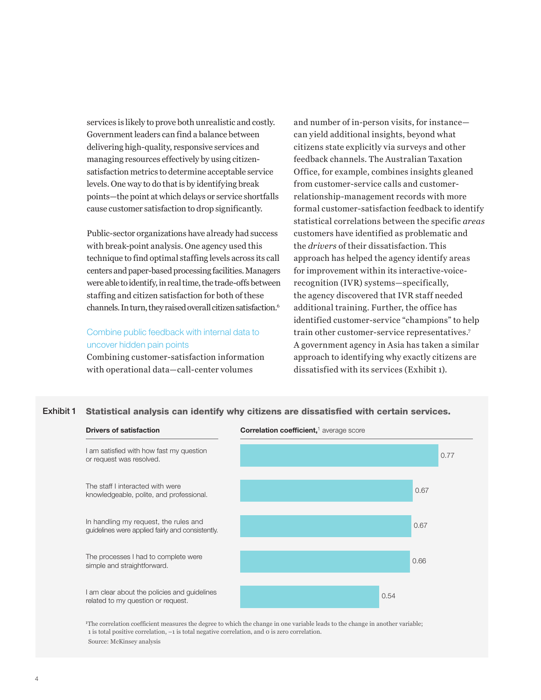services is likely to prove both unrealistic and costly. Government leaders can find a balance between delivering high-quality, responsive services and managing resources effectively by using citizensatisfaction metrics to determine acceptable service levels. One way to do that is by identifying break points—the point at which delays or service shortfalls cause customer satisfaction to drop significantly.

Public-sector organizations have already had success with break-point analysis. One agency used this technique to find optimal staffing levels across its call centers and paper-based processing facilities. Managers were able to identify, in real time, the trade-offs between staffing and citizen satisfaction for both of these channels. In turn, they raised overall citizen satisfaction.<sup>6</sup>

### uncover hidden pain points

Combining customer-satisfaction information with operational data—call-center volumes

Combine public feedback with internal data to **Implementing a contributed associated** to delivering combine public feedback with internal data to **IMPLEM** and number of in-person visits, for instance can yield additional insights, beyond what citizens state explicitly via surveys and other feedback channels. The Australian Taxation Office, for example, combines insights gleaned from customer-service calls and customerrelationship-management records with more formal customer-satisfaction feedback to identify statistical correlations between the specific *areas* customers have identified as problematic and the *drivers* of their dissatisfaction. This approach has helped the agency identify areas for improvement within its interactive-voicerecognition (IVR) systems—specifically, the agency discovered that IVR staff needed additional training. Further, the office has identified customer-service "champions" to help train other customer-service representatives.7 A government agency in Asia has taken a similar approach to identifying why exactly citizens are dissatisfied with its services (Exhibit 1).

#### Exhibit 1 Statistical analysis can identify why citizens are dissatisfied with certain services.



1 The correlation coefficient measures the degree to which the change in one variable leads to the change in another variable; 1 is total positive correlation, –1 is total negative correlation, and 0 is zero correlation. Source: McKinsey analysis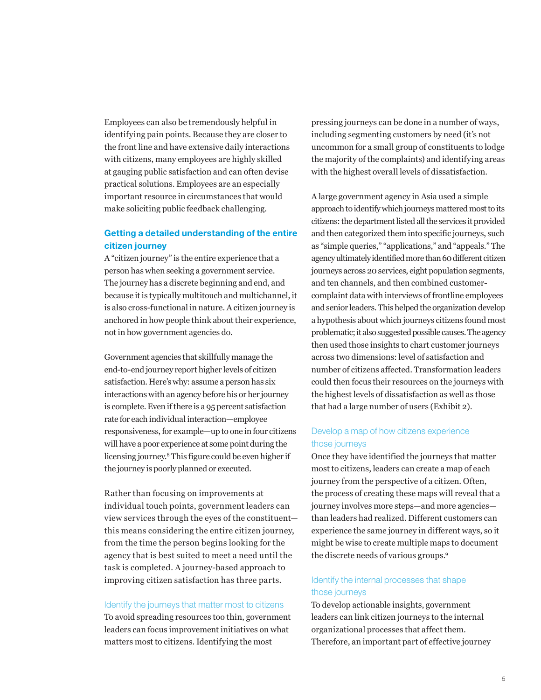Employees can also be tremendously helpful in identifying pain points. Because they are closer to the front line and have extensive daily interactions with citizens, many employees are highly skilled at gauging public satisfaction and can often devise practical solutions. Employees are an especially important resource in circumstances that would make soliciting public feedback challenging.

#### Getting a detailed understanding of the entire citizen journey

A "citizen journey" is the entire experience that a person has when seeking a government service. The journey has a discrete beginning and end, and because it is typically multitouch and multichannel, it is also cross-functional in nature. A citizen journey is anchored in how people think about their experience, not in how government agencies do.

Government agencies that skillfully manage the end-to-end journey report higher levels of citizen satisfaction. Here's why: assume a person has six interactions with an agency before his or her journey is complete. Even if there is a 95 percent satisfaction rate for each individual interaction—employee responsiveness, for example—up to one in four citizens will have a poor experience at some point during the licensing journey.8 This figure could be even higher if the journey is poorly planned or executed.

Rather than focusing on improvements at individual touch points, government leaders can view services through the eyes of the constituent this means considering the entire citizen journey, from the time the person begins looking for the agency that is best suited to meet a need until the task is completed. A journey-based approach to improving citizen satisfaction has three parts.

#### Identify the journeys that matter most to citizens

To avoid spreading resources too thin, government leaders can focus improvement initiatives on what matters most to citizens. Identifying the most

pressing journeys can be done in a number of ways, including segmenting customers by need (it's not uncommon for a small group of constituents to lodge the majority of the complaints) and identifying areas with the highest overall levels of dissatisfaction.

A large government agency in Asia used a simple approach to identify which journeys mattered most to its citizens: the department listed all the services it provided and then categorized them into specific journeys, such as "simple queries," "applications," and "appeals." The agency ultimately identified more than 60 different citizen journeys across 20 services, eight population segments, and ten channels, and then combined customercomplaint data with interviews of frontline employees and senior leaders. This helped the organization develop a hypothesis about which journeys citizens found most problematic; it also suggested possible causes. The agency then used those insights to chart customer journeys across two dimensions: level of satisfaction and number of citizens affected. Transformation leaders could then focus their resources on the journeys with the highest levels of dissatisfaction as well as those that had a large number of users (Exhibit 2).

#### Develop a map of how citizens experience those journeys

Once they have identified the journeys that matter most to citizens, leaders can create a map of each journey from the perspective of a citizen. Often, the process of creating these maps will reveal that a journey involves more steps—and more agencies than leaders had realized. Different customers can experience the same journey in different ways, so it might be wise to create multiple maps to document the discrete needs of various groups.9

#### Identify the internal processes that shape those journeys

To develop actionable insights, government leaders can link citizen journeys to the internal organizational processes that affect them. Therefore, an important part of effective journey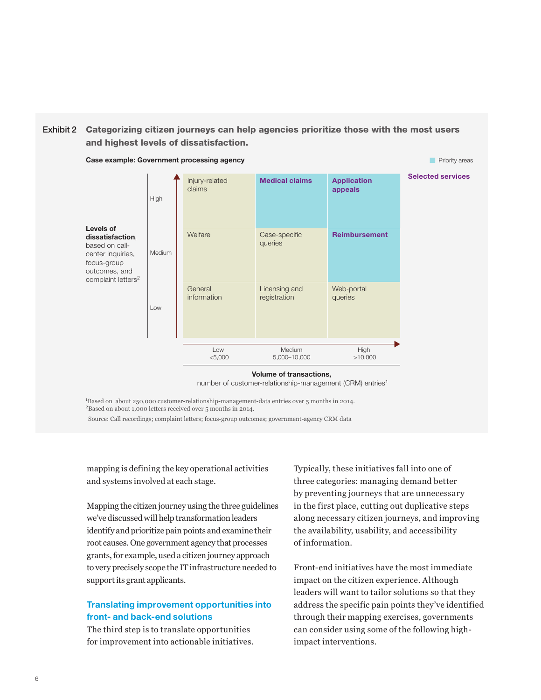### Exhibit 2 Categorizing citizen journeys can help agencies prioritize those with the most users and highest levels of dissatisfaction.



number of customer-relationship-management (CRM) entries1

1 Based on about 250,000 customer-relationship-management-data entries over 5 months in 2014. 2Based on about 1,000 letters received over 5 months in 2014.

Source: Call recordings; complaint letters; focus-group outcomes; government-agency CRM data

mapping is defining the key operational activities and systems involved at each stage.

Mapping the citizen journey using the three guidelines we've discussed will help transformation leaders identify and prioritize pain points and examine their root causes. One government agency that processes grants, for example, used a citizen journey approach to very precisely scope the IT infrastructure needed to support its grant applicants.

#### Translating improvement opportunities into front- and back-end solutions

The third step is to translate opportunities for improvement into actionable initiatives. Typically, these initiatives fall into one of three categories: managing demand better by preventing journeys that are unnecessary in the first place, cutting out duplicative steps along necessary citizen journeys, and improving the availability, usability, and accessibility of information.

Front-end initiatives have the most immediate impact on the citizen experience. Although leaders will want to tailor solutions so that they address the specific pain points they've identified through their mapping exercises, governments can consider using some of the following highimpact interventions.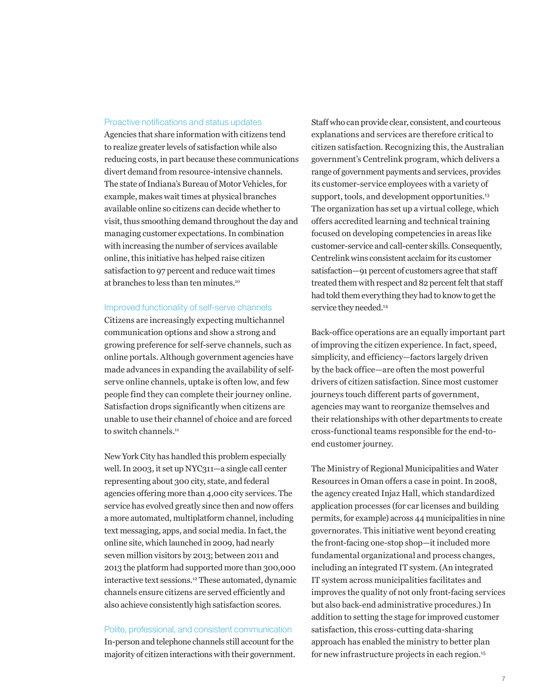#### Proactive notifications and status updates

Agencies that share information with citizens tend to realize greater levels of satisfaction while also reducing costs, in part because these communications divert demand from resource-intensive channels. The state of Indiana's Bureau of Motor Vehicles, for example, makes wait times at physical branches available online so citizens can decide whether to visit, thus smoothing demand throughout the day and managing customer expectations. In combination with increasing the number of services available online, this initiative has helped raise citizen satisfaction to 97 percent and reduce wait times at branches to less than ten minutes.<sup>10</sup>

#### Improved functionality of self-serve channels

Citizens are increasingly expecting multichannel communication options and show a strong and growing preference for self-serve channels, such as online portals. Although government agencies have made advances in expanding the availability of selfserve online channels, uptake is often low, and few people find they can complete their journey online. Satisfaction drops significantly when citizens are unable to use their channel of choice and are forced to switch channels.<sup>11</sup>

New York City has handled this problem especially well. In 2003, it set up NYC311—a single call center representing about 300 city, state, and federal agencies offering more than 4,000 city services. The service has evolved greatly since then and now offers a more automated, multiplatform channel, including text messaging, apps, and social media. In fact, the online site, which launched in 2009, had nearly seven million visitors by 2013; between 2011 and 2013 the platform had supported more than 300,000 interactive text sessions.12 These automated, dynamic channels ensure citizens are served efficiently and also achieve consistently high satisfaction scores.

Polite, professional, and consistent communication In-person and telephone channels still account for the majority of citizen interactions with their government. Staff who can provide clear, consistent, and courteous explanations and services are therefore critical to citizen satisfaction. Recognizing this, the Australian government's Centrelink program, which delivers a range of government payments and services, provides its customer-service employees with a variety of support, tools, and development opportunities.<sup>13</sup> The organization has set up a virtual college, which offers accredited learning and technical training focused on developing competencies in areas like customer-service and call-center skills. Consequently, Centrelink wins consistent acclaim for its customer satisfaction—91 percent of customers agree that staff treated them with respect and 82 percent felt that staff had told them everything they had to know to get the service they needed.<sup>14</sup>

Back-office operations are an equally important part of improving the citizen experience. In fact, speed, simplicity, and efficiency—factors largely driven by the back office—are often the most powerful drivers of citizen satisfaction. Since most customer journeys touch different parts of government, agencies may want to reorganize themselves and their relationships with other departments to create cross-functional teams responsible for the end-toend customer journey.

The Ministry of Regional Municipalities and Water Resources in Oman offers a case in point. In 2008, the agency created Injaz Hall, which standardized application processes (for car licenses and building permits, for example) across 44 municipalities in nine governorates. This initiative went beyond creating the front-facing one-stop shop—it included more fundamental organizational and process changes, including an integrated IT system. (An integrated IT system across municipalities facilitates and improves the quality of not only front-facing services but also back-end administrative procedures.) In addition to setting the stage for improved customer satisfaction, this cross-cutting data-sharing approach has enabled the ministry to better plan for new infrastructure projects in each region.<sup>15</sup>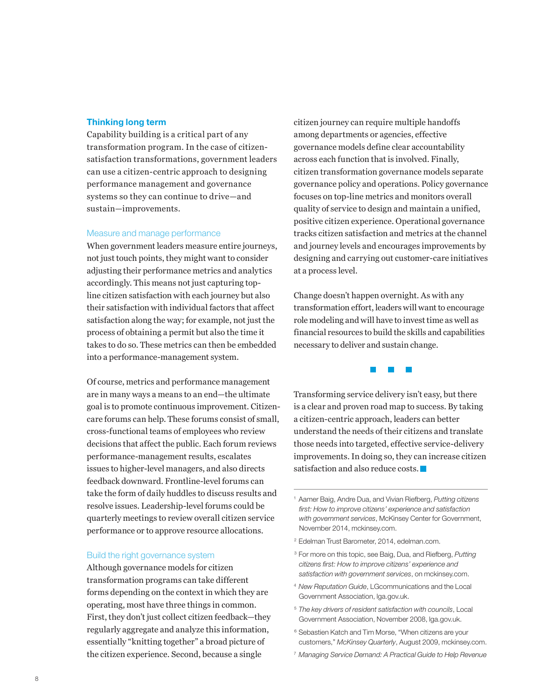#### Thinking long term

Capability building is a critical part of any transformation program. In the case of citizensatisfaction transformations, government leaders can use a citizen-centric approach to designing performance management and governance systems so they can continue to drive—and sustain—improvements.

#### Measure and manage performance

When government leaders measure entire journeys, not just touch points, they might want to consider adjusting their performance metrics and analytics accordingly. This means not just capturing topline citizen satisfaction with each journey but also their satisfaction with individual factors that affect satisfaction along the way; for example, not just the process of obtaining a permit but also the time it takes to do so. These metrics can then be embedded into a performance-management system.

Of course, metrics and performance management are in many ways a means to an end—the ultimate goal is to promote continuous improvement. Citizencare forums can help. These forums consist of small, cross-functional teams of employees who review decisions that affect the public. Each forum reviews performance-management results, escalates issues to higher-level managers, and also directs feedback downward. Frontline-level forums can take the form of daily huddles to discuss results and resolve issues. Leadership-level forums could be quarterly meetings to review overall citizen service performance or to approve resource allocations.

#### Build the right governance system

Although governance models for citizen transformation programs can take different forms depending on the context in which they are operating, most have three things in common. First, they don't just collect citizen feedback—they regularly aggregate and analyze this information, essentially "knitting together" a broad picture of the citizen experience. Second, because a single

citizen journey can require multiple handoffs among departments or agencies, effective governance models define clear accountability across each function that is involved. Finally, citizen transformation governance models separate governance policy and operations. Policy governance focuses on top-line metrics and monitors overall quality of service to design and maintain a unified, positive citizen experience. Operational governance tracks citizen satisfaction and metrics at the channel and journey levels and encourages improvements by designing and carrying out customer-care initiatives at a process level.

Change doesn't happen overnight. As with any transformation effort, leaders will want to encourage role modeling and will have to invest time as well as financial resources to build the skills and capabilities necessary to deliver and sustain change.

 $\sim$ 

Transforming service delivery isn't easy, but there is a clear and proven road map to success. By taking a citizen-centric approach, leaders can better understand the needs of their citizens and translate those needs into targeted, effective service-delivery improvements. In doing so, they can increase citizen satisfaction and also reduce costs.

- 2 Edelman Trust Barometer, 2014, edelman.com.
- 3 For more on this topic, see Baig, Dua, and Riefberg, *Putting citizens first: How to improve citizens' experience and satisfaction with government services*, on mckinsey.com.
- <sup>4</sup>*New Reputation Guide*, LGcommunications and the Local Government Association, lga.gov.uk.
- <sup>5</sup>*The key drivers of resident satisfaction with councils*, Local Government Association, November 2008, lga.gov.uk.
- <sup>6</sup> Sebastien Katch and Tim Morse, "When citizens are your customers," *McKinsey Quarterly*, August 2009, mckinsey.com.
- 7 *Managing Service Demand: A Practical Guide to Help Revenue*

<sup>1</sup> Aamer Baig, Andre Dua, and Vivian Riefberg, *Putting citizens first: How to improve citizens' experience and satisfaction with government services*, McKinsey Center for Government, November 2014, mckinsey.com.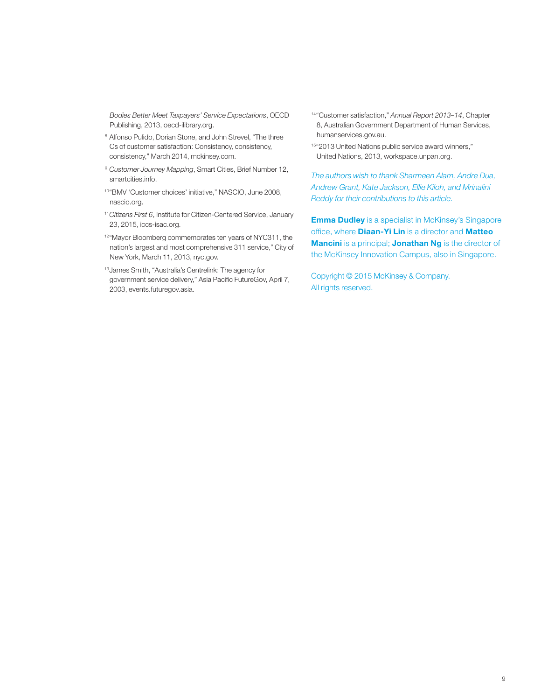*Bodies Better Meet Taxpayers' Service Expectations*, OECD Publishing, 2013, oecd-ilibrary.org.

- <sup>8</sup> Alfonso Pulido, Dorian Stone, and John Strevel, "The three Cs of customer satisfaction: Consistency, consistency, consistency," March 2014, mckinsey.com.
- <sup>9</sup>*Customer Journey Mapping*, Smart Cities, Brief Number 12, smartcities.info.
- 10"BMV 'Customer choices' initiative," NASCIO, June 2008, nascio.org.
- <sup>11</sup>*Citizens First 6*, Institute for Citizen-Centered Service, January 23, 2015, iccs-isac.org.
- <sup>12</sup>"Mayor Bloomberg commemorates ten years of NYC311, the nation's largest and most comprehensive 311 service," City of New York, March 11, 2013, nyc.gov.
- 13James Smith, "Australia's Centrelink: The agency for government service delivery," Asia Pacific FutureGov, April 7, 2003, events.futuregov.asia.
- 14"Customer satisfaction," *Annual Report 2013–14*, Chapter 8, Australian Government Department of Human Services, humanservices.gov.au.
- 15"2013 United Nations public service award winners," United Nations, 2013, workspace.unpan.org.

*The authors wish to thank Sharmeen Alam, Andre Dua, Andrew Grant, Kate Jackson, Ellie Kiloh, and Mrinalini Reddy for their contributions to this article.*

**Emma Dudley** is a specialist in McKinsey's Singapore office, where **Diaan-Yi Lin** is a director and **Matteo** Mancini is a principal; Jonathan Ng is the director of the McKinsey Innovation Campus, also in Singapore.

Copyright © 2015 McKinsey & Company. All rights reserved.